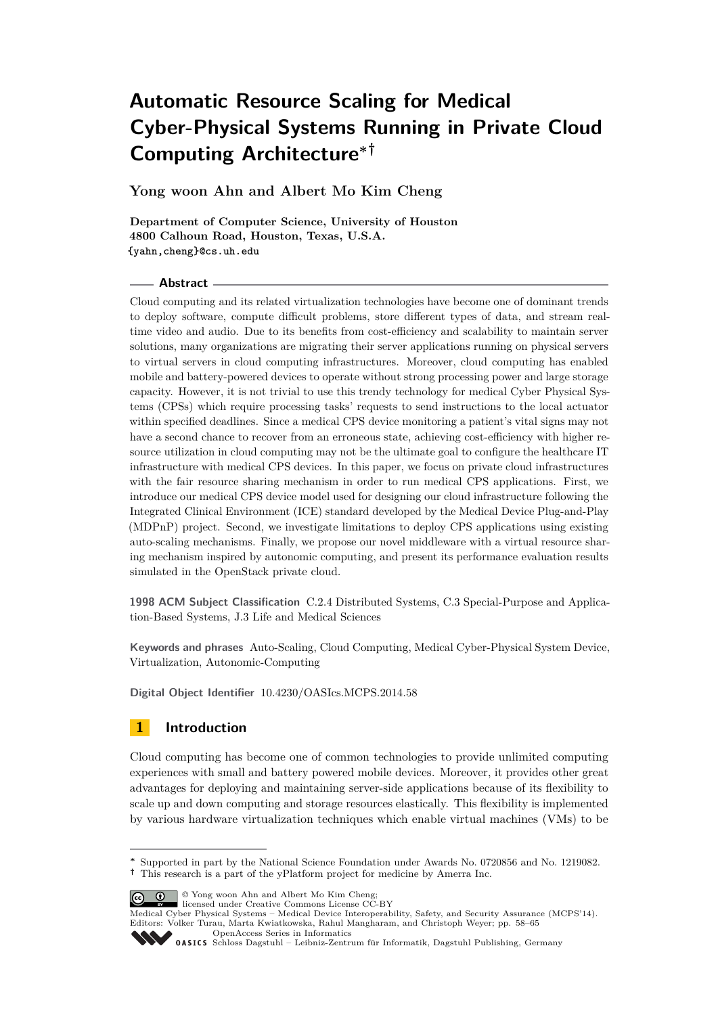# **Automatic Resource Scaling for Medical Cyber-Physical Systems Running in Private Cloud Computing Architecture∗†**

**Yong woon Ahn and Albert Mo Kim Cheng**

**Department of Computer Science, University of Houston 4800 Calhoun Road, Houston, Texas, U.S.A. {yahn,cheng}@cs.uh.edu**

## **Abstract**

Cloud computing and its related virtualization technologies have become one of dominant trends to deploy software, compute difficult problems, store different types of data, and stream realtime video and audio. Due to its benefits from cost-efficiency and scalability to maintain server solutions, many organizations are migrating their server applications running on physical servers to virtual servers in cloud computing infrastructures. Moreover, cloud computing has enabled mobile and battery-powered devices to operate without strong processing power and large storage capacity. However, it is not trivial to use this trendy technology for medical Cyber Physical Systems (CPSs) which require processing tasks' requests to send instructions to the local actuator within specified deadlines. Since a medical CPS device monitoring a patient's vital signs may not have a second chance to recover from an erroneous state, achieving cost-efficiency with higher resource utilization in cloud computing may not be the ultimate goal to configure the healthcare IT infrastructure with medical CPS devices. In this paper, we focus on private cloud infrastructures with the fair resource sharing mechanism in order to run medical CPS applications. First, we introduce our medical CPS device model used for designing our cloud infrastructure following the Integrated Clinical Environment (ICE) standard developed by the Medical Device Plug-and-Play (MDPnP) project. Second, we investigate limitations to deploy CPS applications using existing auto-scaling mechanisms. Finally, we propose our novel middleware with a virtual resource sharing mechanism inspired by autonomic computing, and present its performance evaluation results simulated in the OpenStack private cloud.

**1998 ACM Subject Classification** C.2.4 Distributed Systems, C.3 Special-Purpose and Application-Based Systems, J.3 Life and Medical Sciences

**Keywords and phrases** Auto-Scaling, Cloud Computing, Medical Cyber-Physical System Device, Virtualization, Autonomic-Computing

**Digital Object Identifier** [10.4230/OASIcs.MCPS.2014.58](http://dx.doi.org/10.4230/OASIcs.MCPS.2014.58)

# **1 Introduction**

Cloud computing has become one of common technologies to provide unlimited computing experiences with small and battery powered mobile devices. Moreover, it provides other great advantages for deploying and maintaining server-side applications because of its flexibility to scale up and down computing and storage resources elastically. This flexibility is implemented by various hardware virtualization techniques which enable virtual machines (VMs) to be

© Yong woon Ahn and Albert Mo Kim Cheng;

**<sup>∗</sup>** Supported in part by the National Science Foundation under Awards No. 0720856 and No. 1219082. **†** This research is a part of the yPlatform project for medicine by Amerra Inc.

licensed under Creative Commons License CC-BY Medical Cyber Physical Systems – Medical Device Interoperability, Safety, and Security Assurance (MCPS'14). Editors: Volker Turau, Marta Kwiatkowska, Rahul Mangharam, and Christoph Weyer; pp. 58[–65](#page-7-0)

[OpenAccess Series in Informatics](http://www.dagstuhl.de/oasics/)

Optimatess Danks in information für Informatik, Dagstuhl Publishing, Germany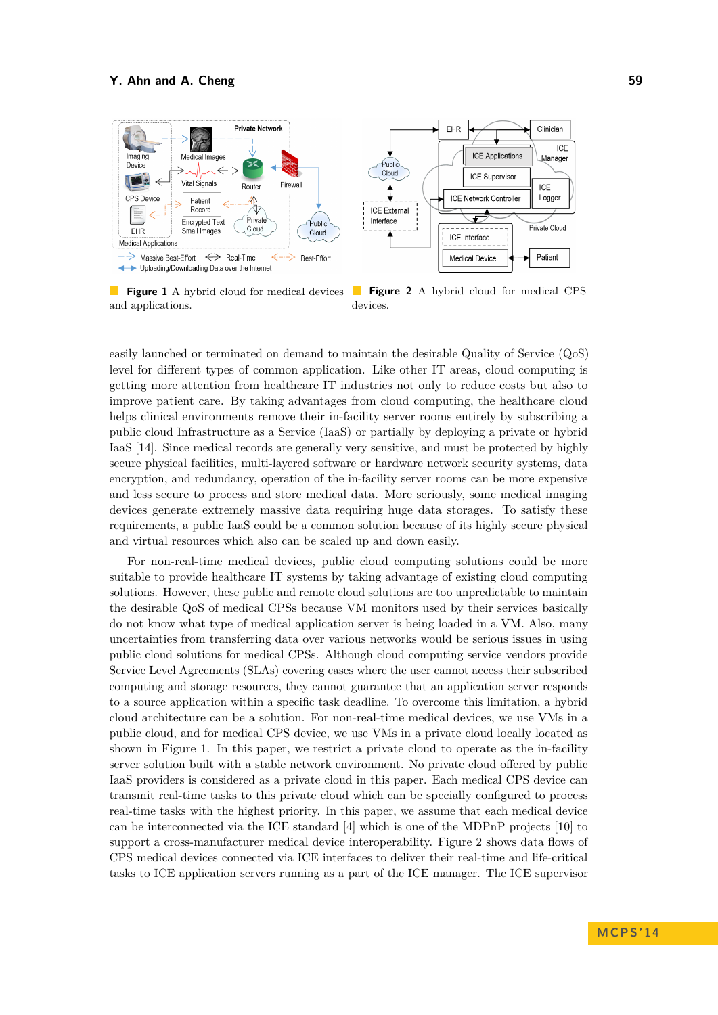

**Figure 1** A hybrid cloud for medical devices and applications.

**Figure 2** A hybrid cloud for medical CPS devices.

easily launched or terminated on demand to maintain the desirable Quality of Service (QoS) level for different types of common application. Like other IT areas, cloud computing is getting more attention from healthcare IT industries not only to reduce costs but also to improve patient care. By taking advantages from cloud computing, the healthcare cloud helps clinical environments remove their in-facility server rooms entirely by subscribing a public cloud Infrastructure as a Service (IaaS) or partially by deploying a private or hybrid IaaS [\[14\]](#page-7-1). Since medical records are generally very sensitive, and must be protected by highly secure physical facilities, multi-layered software or hardware network security systems, data encryption, and redundancy, operation of the in-facility server rooms can be more expensive and less secure to process and store medical data. More seriously, some medical imaging devices generate extremely massive data requiring huge data storages. To satisfy these requirements, a public IaaS could be a common solution because of its highly secure physical and virtual resources which also can be scaled up and down easily.

For non-real-time medical devices, public cloud computing solutions could be more suitable to provide healthcare IT systems by taking advantage of existing cloud computing solutions. However, these public and remote cloud solutions are too unpredictable to maintain the desirable QoS of medical CPSs because VM monitors used by their services basically do not know what type of medical application server is being loaded in a VM. Also, many uncertainties from transferring data over various networks would be serious issues in using public cloud solutions for medical CPSs. Although cloud computing service vendors provide Service Level Agreements (SLAs) covering cases where the user cannot access their subscribed computing and storage resources, they cannot guarantee that an application server responds to a source application within a specific task deadline. To overcome this limitation, a hybrid cloud architecture can be a solution. For non-real-time medical devices, we use VMs in a public cloud, and for medical CPS device, we use VMs in a private cloud locally located as shown in Figure 1. In this paper, we restrict a private cloud to operate as the in-facility server solution built with a stable network environment. No private cloud offered by public IaaS providers is considered as a private cloud in this paper. Each medical CPS device can transmit real-time tasks to this private cloud which can be specially configured to process real-time tasks with the highest priority. In this paper, we assume that each medical device can be interconnected via the ICE standard [\[4\]](#page-7-2) which is one of the MDPnP projects [\[10\]](#page-7-3) to support a cross-manufacturer medical device interoperability. Figure 2 shows data flows of CPS medical devices connected via ICE interfaces to deliver their real-time and life-critical tasks to ICE application servers running as a part of the ICE manager. The ICE supervisor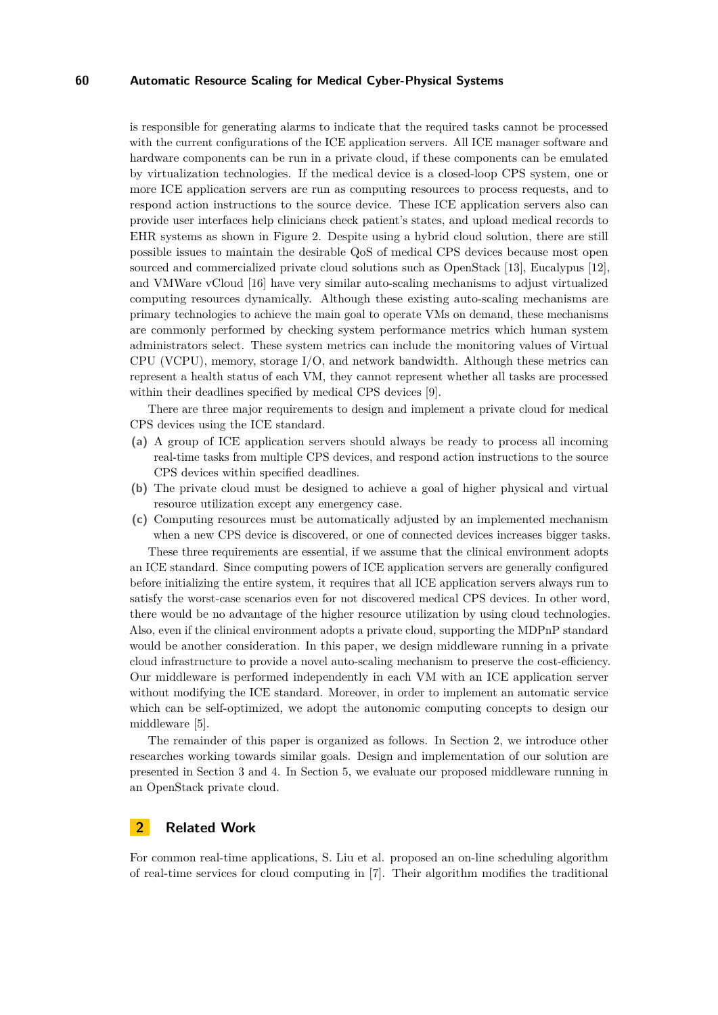## **60 Automatic Resource Scaling for Medical Cyber-Physical Systems**

is responsible for generating alarms to indicate that the required tasks cannot be processed with the current configurations of the ICE application servers. All ICE manager software and hardware components can be run in a private cloud, if these components can be emulated by virtualization technologies. If the medical device is a closed-loop CPS system, one or more ICE application servers are run as computing resources to process requests, and to respond action instructions to the source device. These ICE application servers also can provide user interfaces help clinicians check patient's states, and upload medical records to EHR systems as shown in Figure 2. Despite using a hybrid cloud solution, there are still possible issues to maintain the desirable QoS of medical CPS devices because most open sourced and commercialized private cloud solutions such as OpenStack [\[13\]](#page-7-4), Eucalypus [\[12\]](#page-7-5), and VMWare vCloud [\[16\]](#page-7-6) have very similar auto-scaling mechanisms to adjust virtualized computing resources dynamically. Although these existing auto-scaling mechanisms are primary technologies to achieve the main goal to operate VMs on demand, these mechanisms are commonly performed by checking system performance metrics which human system administrators select. These system metrics can include the monitoring values of Virtual CPU (VCPU), memory, storage I/O, and network bandwidth. Although these metrics can represent a health status of each VM, they cannot represent whether all tasks are processed within their deadlines specified by medical CPS devices [\[9\]](#page-7-7).

There are three major requirements to design and implement a private cloud for medical CPS devices using the ICE standard.

- **(a)** A group of ICE application servers should always be ready to process all incoming real-time tasks from multiple CPS devices, and respond action instructions to the source CPS devices within specified deadlines.
- **(b)** The private cloud must be designed to achieve a goal of higher physical and virtual resource utilization except any emergency case.
- **(c)** Computing resources must be automatically adjusted by an implemented mechanism when a new CPS device is discovered, or one of connected devices increases bigger tasks. These three requirements are essential, if we assume that the clinical environment adopts

an ICE standard. Since computing powers of ICE application servers are generally configured before initializing the entire system, it requires that all ICE application servers always run to satisfy the worst-case scenarios even for not discovered medical CPS devices. In other word, there would be no advantage of the higher resource utilization by using cloud technologies. Also, even if the clinical environment adopts a private cloud, supporting the MDPnP standard would be another consideration. In this paper, we design middleware running in a private cloud infrastructure to provide a novel auto-scaling mechanism to preserve the cost-efficiency. Our middleware is performed independently in each VM with an ICE application server without modifying the ICE standard. Moreover, in order to implement an automatic service which can be self-optimized, we adopt the autonomic computing concepts to design our middleware [\[5\]](#page-7-8).

The remainder of this paper is organized as follows. In Section 2, we introduce other researches working towards similar goals. Design and implementation of our solution are presented in Section 3 and 4. In Section 5, we evaluate our proposed middleware running in an OpenStack private cloud.

# **2 Related Work**

For common real-time applications, S. Liu et al. proposed an on-line scheduling algorithm of real-time services for cloud computing in [\[7\]](#page-7-9). Their algorithm modifies the traditional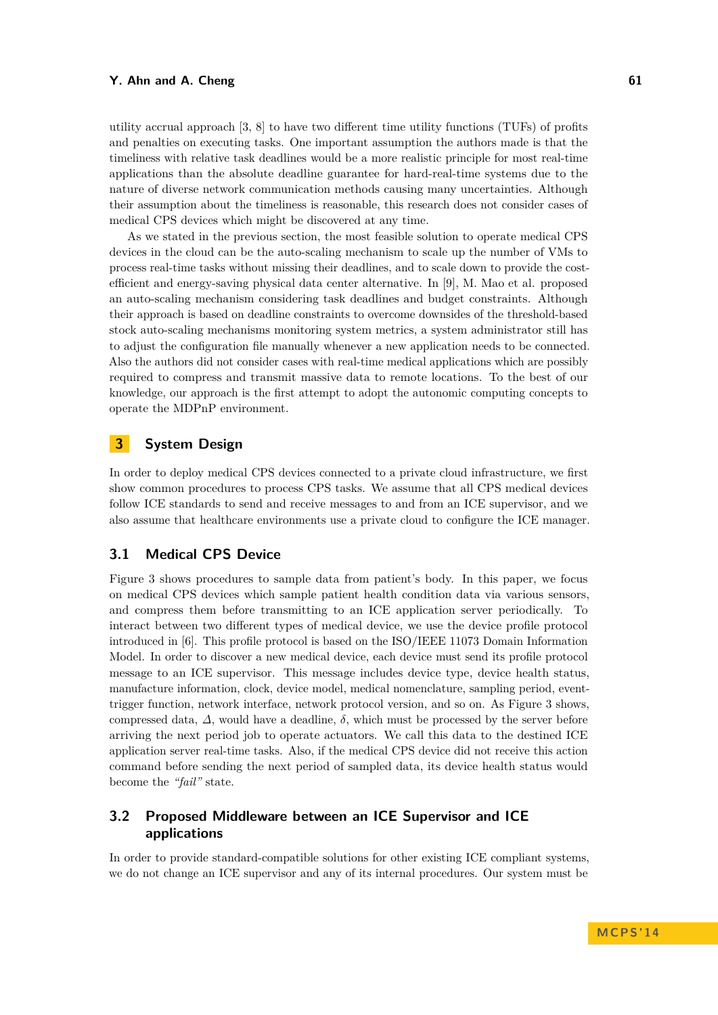utility accrual approach [\[3,](#page-7-10) [8\]](#page-7-11) to have two different time utility functions (TUFs) of profits and penalties on executing tasks. One important assumption the authors made is that the timeliness with relative task deadlines would be a more realistic principle for most real-time applications than the absolute deadline guarantee for hard-real-time systems due to the nature of diverse network communication methods causing many uncertainties. Although their assumption about the timeliness is reasonable, this research does not consider cases of medical CPS devices which might be discovered at any time.

As we stated in the previous section, the most feasible solution to operate medical CPS devices in the cloud can be the auto-scaling mechanism to scale up the number of VMs to process real-time tasks without missing their deadlines, and to scale down to provide the costefficient and energy-saving physical data center alternative. In [\[9\]](#page-7-7), M. Mao et al. proposed an auto-scaling mechanism considering task deadlines and budget constraints. Although their approach is based on deadline constraints to overcome downsides of the threshold-based stock auto-scaling mechanisms monitoring system metrics, a system administrator still has to adjust the configuration file manually whenever a new application needs to be connected. Also the authors did not consider cases with real-time medical applications which are possibly required to compress and transmit massive data to remote locations. To the best of our knowledge, our approach is the first attempt to adopt the autonomic computing concepts to operate the MDPnP environment.

# **3 System Design**

In order to deploy medical CPS devices connected to a private cloud infrastructure, we first show common procedures to process CPS tasks. We assume that all CPS medical devices follow ICE standards to send and receive messages to and from an ICE supervisor, and we also assume that healthcare environments use a private cloud to configure the ICE manager.

## **3.1 Medical CPS Device**

Figure 3 shows procedures to sample data from patient's body. In this paper, we focus on medical CPS devices which sample patient health condition data via various sensors, and compress them before transmitting to an ICE application server periodically. To interact between two different types of medical device, we use the device profile protocol introduced in [\[6\]](#page-7-12). This profile protocol is based on the ISO/IEEE 11073 Domain Information Model. In order to discover a new medical device, each device must send its profile protocol message to an ICE supervisor. This message includes device type, device health status, manufacture information, clock, device model, medical nomenclature, sampling period, eventtrigger function, network interface, network protocol version, and so on. As Figure 3 shows, compressed data,  $\Delta$ , would have a deadline,  $\delta$ , which must be processed by the server before arriving the next period job to operate actuators. We call this data to the destined ICE application server real-time tasks. Also, if the medical CPS device did not receive this action command before sending the next period of sampled data, its device health status would become the *"fail"* state.

# **3.2 Proposed Middleware between an ICE Supervisor and ICE applications**

In order to provide standard-compatible solutions for other existing ICE compliant systems, we do not change an ICE supervisor and any of its internal procedures. Our system must be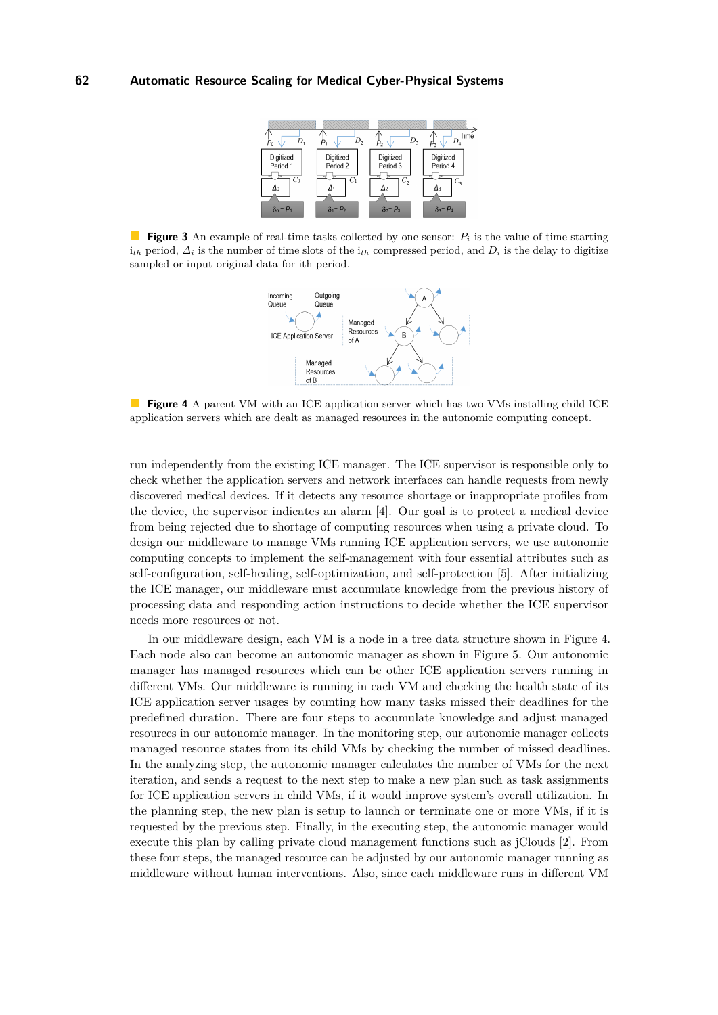|                                | υ,                             |                          | Time                        |
|--------------------------------|--------------------------------|--------------------------|-----------------------------|
| Digitized<br>Period 1<br>$C_0$ | Digitized<br>Period 2<br>$C_1$ | Digitized<br>Period 3    | Digitized<br>Period 4<br>C, |
| $\delta_0 = P_1$               | $\delta_1 = P_2$               | Δ2<br>$\delta_2$ = $P_3$ | $\delta_3 = P_4$            |
|                                |                                |                          |                             |

**Figure 3** An example of real-time tasks collected by one sensor: *P<sup>i</sup>* is the value of time starting  $i_{th}$  period,  $\Delta_i$  is the number of time slots of the  $i_{th}$  compressed period, and  $D_i$  is the delay to digitize sampled or input original data for ith period.



**Figure 4** A parent VM with an ICE application server which has two VMs installing child ICE application servers which are dealt as managed resources in the autonomic computing concept.

run independently from the existing ICE manager. The ICE supervisor is responsible only to check whether the application servers and network interfaces can handle requests from newly discovered medical devices. If it detects any resource shortage or inappropriate profiles from the device, the supervisor indicates an alarm [\[4\]](#page-7-2). Our goal is to protect a medical device from being rejected due to shortage of computing resources when using a private cloud. To design our middleware to manage VMs running ICE application servers, we use autonomic computing concepts to implement the self-management with four essential attributes such as self-configuration, self-healing, self-optimization, and self-protection [\[5\]](#page-7-8). After initializing the ICE manager, our middleware must accumulate knowledge from the previous history of processing data and responding action instructions to decide whether the ICE supervisor needs more resources or not.

In our middleware design, each VM is a node in a tree data structure shown in Figure 4. Each node also can become an autonomic manager as shown in Figure 5. Our autonomic manager has managed resources which can be other ICE application servers running in different VMs. Our middleware is running in each VM and checking the health state of its ICE application server usages by counting how many tasks missed their deadlines for the predefined duration. There are four steps to accumulate knowledge and adjust managed resources in our autonomic manager. In the monitoring step, our autonomic manager collects managed resource states from its child VMs by checking the number of missed deadlines. In the analyzing step, the autonomic manager calculates the number of VMs for the next iteration, and sends a request to the next step to make a new plan such as task assignments for ICE application servers in child VMs, if it would improve system's overall utilization. In the planning step, the new plan is setup to launch or terminate one or more VMs, if it is requested by the previous step. Finally, in the executing step, the autonomic manager would execute this plan by calling private cloud management functions such as jClouds [\[2\]](#page-7-13). From these four steps, the managed resource can be adjusted by our autonomic manager running as middleware without human interventions. Also, since each middleware runs in different VM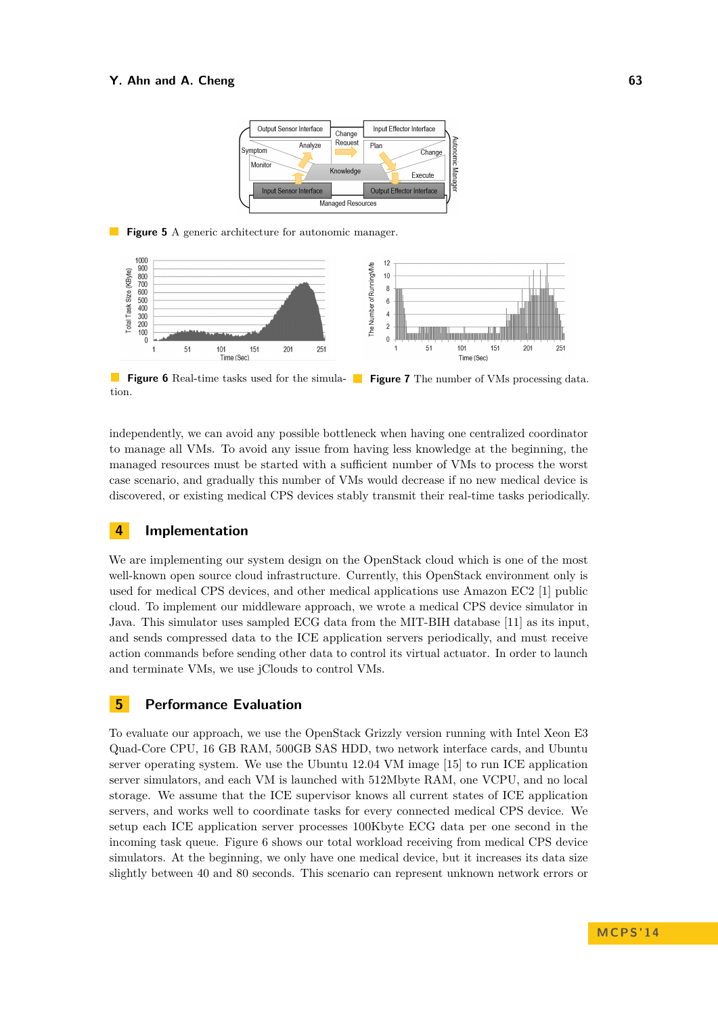

**Figure 5** A generic architecture for autonomic manager.



**Figure 6** Real-time tasks used for the simula-**Figure 7** The number of VMs processing data. tion.

independently, we can avoid any possible bottleneck when having one centralized coordinator to manage all VMs. To avoid any issue from having less knowledge at the beginning, the managed resources must be started with a sufficient number of VMs to process the worst case scenario, and gradually this number of VMs would decrease if no new medical device is discovered, or existing medical CPS devices stably transmit their real-time tasks periodically.

## **4 Implementation**

We are implementing our system design on the OpenStack cloud which is one of the most well-known open source cloud infrastructure. Currently, this OpenStack environment only is used for medical CPS devices, and other medical applications use Amazon EC2 [\[1\]](#page-7-14) public cloud. To implement our middleware approach, we wrote a medical CPS device simulator in Java. This simulator uses sampled ECG data from the MIT-BIH database [\[11\]](#page-7-15) as its input, and sends compressed data to the ICE application servers periodically, and must receive action commands before sending other data to control its virtual actuator. In order to launch and terminate VMs, we use jClouds to control VMs.

# **5 Performance Evaluation**

To evaluate our approach, we use the OpenStack Grizzly version running with Intel Xeon E3 Quad-Core CPU, 16 GB RAM, 500GB SAS HDD, two network interface cards, and Ubuntu server operating system. We use the Ubuntu 12.04 VM image [\[15\]](#page-7-16) to run ICE application server simulators, and each VM is launched with 512Mbyte RAM, one VCPU, and no local storage. We assume that the ICE supervisor knows all current states of ICE application servers, and works well to coordinate tasks for every connected medical CPS device. We setup each ICE application server processes 100Kbyte ECG data per one second in the incoming task queue. Figure 6 shows our total workload receiving from medical CPS device simulators. At the beginning, we only have one medical device, but it increases its data size slightly between 40 and 80 seconds. This scenario can represent unknown network errors or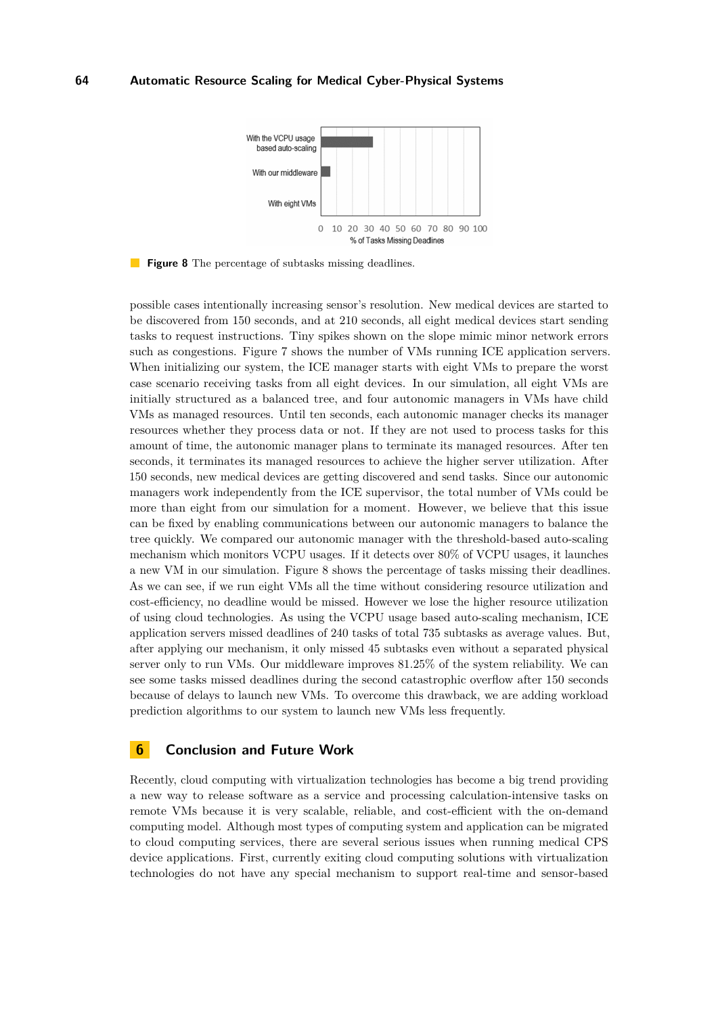

**Figure 8** The percentage of subtasks missing deadlines.

possible cases intentionally increasing sensor's resolution. New medical devices are started to be discovered from 150 seconds, and at 210 seconds, all eight medical devices start sending tasks to request instructions. Tiny spikes shown on the slope mimic minor network errors such as congestions. Figure 7 shows the number of VMs running ICE application servers. When initializing our system, the ICE manager starts with eight VMs to prepare the worst case scenario receiving tasks from all eight devices. In our simulation, all eight VMs are initially structured as a balanced tree, and four autonomic managers in VMs have child VMs as managed resources. Until ten seconds, each autonomic manager checks its manager resources whether they process data or not. If they are not used to process tasks for this amount of time, the autonomic manager plans to terminate its managed resources. After ten seconds, it terminates its managed resources to achieve the higher server utilization. After 150 seconds, new medical devices are getting discovered and send tasks. Since our autonomic managers work independently from the ICE supervisor, the total number of VMs could be more than eight from our simulation for a moment. However, we believe that this issue can be fixed by enabling communications between our autonomic managers to balance the tree quickly. We compared our autonomic manager with the threshold-based auto-scaling mechanism which monitors VCPU usages. If it detects over 80% of VCPU usages, it launches a new VM in our simulation. Figure 8 shows the percentage of tasks missing their deadlines. As we can see, if we run eight VMs all the time without considering resource utilization and cost-efficiency, no deadline would be missed. However we lose the higher resource utilization of using cloud technologies. As using the VCPU usage based auto-scaling mechanism, ICE application servers missed deadlines of 240 tasks of total 735 subtasks as average values. But, after applying our mechanism, it only missed 45 subtasks even without a separated physical server only to run VMs. Our middleware improves 81.25% of the system reliability. We can see some tasks missed deadlines during the second catastrophic overflow after 150 seconds because of delays to launch new VMs. To overcome this drawback, we are adding workload prediction algorithms to our system to launch new VMs less frequently.

## **6 Conclusion and Future Work**

Recently, cloud computing with virtualization technologies has become a big trend providing a new way to release software as a service and processing calculation-intensive tasks on remote VMs because it is very scalable, reliable, and cost-efficient with the on-demand computing model. Although most types of computing system and application can be migrated to cloud computing services, there are several serious issues when running medical CPS device applications. First, currently exiting cloud computing solutions with virtualization technologies do not have any special mechanism to support real-time and sensor-based